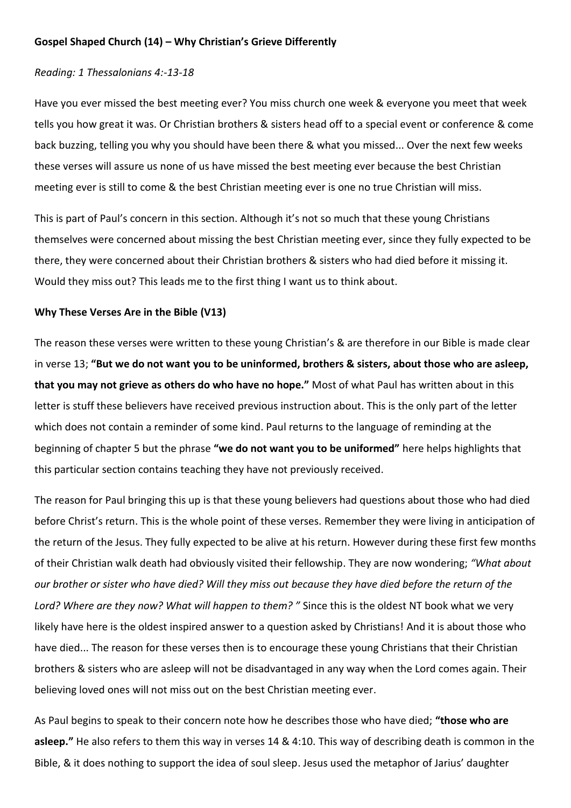## **Gospel Shaped Church (14) – Why Christian's Grieve Differently**

## *Reading: 1 Thessalonians 4:-13-18*

Have you ever missed the best meeting ever? You miss church one week & everyone you meet that week tells you how great it was. Or Christian brothers & sisters head off to a special event or conference & come back buzzing, telling you why you should have been there & what you missed... Over the next few weeks these verses will assure us none of us have missed the best meeting ever because the best Christian meeting ever is still to come & the best Christian meeting ever is one no true Christian will miss.

This is part of Paul's concern in this section. Although it's not so much that these young Christians themselves were concerned about missing the best Christian meeting ever, since they fully expected to be there, they were concerned about their Christian brothers & sisters who had died before it missing it. Would they miss out? This leads me to the first thing I want us to think about.

## **Why These Verses Are in the Bible (V13)**

The reason these verses were written to these young Christian's & are therefore in our Bible is made clear in verse 13; **"But we do not want you to be uninformed, brothers & sisters, about those who are asleep, that you may not grieve as others do who have no hope."** Most of what Paul has written about in this letter is stuff these believers have received previous instruction about. This is the only part of the letter which does not contain a reminder of some kind. Paul returns to the language of reminding at the beginning of chapter 5 but the phrase **"we do not want you to be uniformed"** here helps highlights that this particular section contains teaching they have not previously received.

The reason for Paul bringing this up is that these young believers had questions about those who had died before Christ's return. This is the whole point of these verses. Remember they were living in anticipation of the return of the Jesus. They fully expected to be alive at his return. However during these first few months of their Christian walk death had obviously visited their fellowship. They are now wondering; *"What about our brother or sister who have died? Will they miss out because they have died before the return of the Lord? Where are they now? What will happen to them? "* Since this is the oldest NT book what we very likely have here is the oldest inspired answer to a question asked by Christians! And it is about those who have died... The reason for these verses then is to encourage these young Christians that their Christian brothers & sisters who are asleep will not be disadvantaged in any way when the Lord comes again. Their believing loved ones will not miss out on the best Christian meeting ever.

As Paul begins to speak to their concern note how he describes those who have died; **"those who are asleep."** He also refers to them this way in verses 14 & 4:10. This way of describing death is common in the Bible, & it does nothing to support the idea of soul sleep. Jesus used the metaphor of Jarius' daughter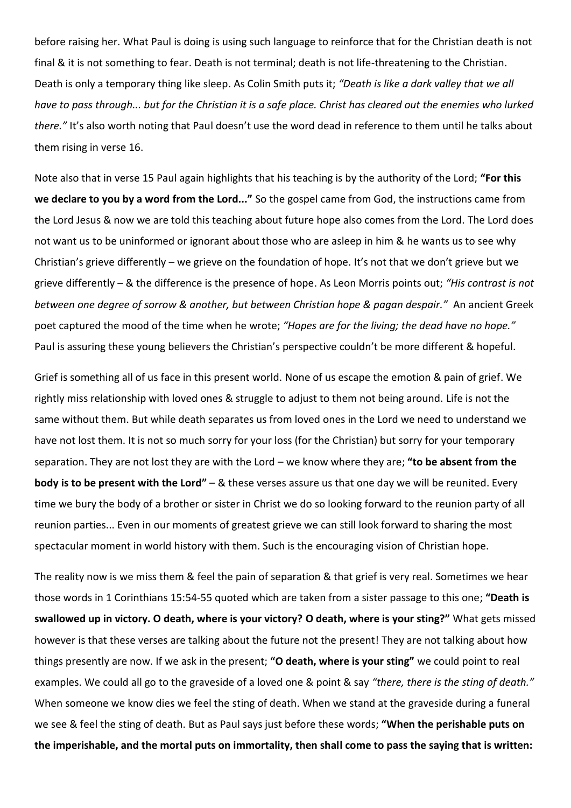before raising her. What Paul is doing is using such language to reinforce that for the Christian death is not final & it is not something to fear. Death is not terminal; death is not life-threatening to the Christian. Death is only a temporary thing like sleep. As Colin Smith puts it; *"Death is like a dark valley that we all have to pass through... but for the Christian it is a safe place. Christ has cleared out the enemies who lurked there."* It's also worth noting that Paul doesn't use the word dead in reference to them until he talks about them rising in verse 16.

Note also that in verse 15 Paul again highlights that his teaching is by the authority of the Lord; **"For this we declare to you by a word from the Lord..."** So the gospel came from God, the instructions came from the Lord Jesus & now we are told this teaching about future hope also comes from the Lord. The Lord does not want us to be uninformed or ignorant about those who are asleep in him & he wants us to see why Christian's grieve differently – we grieve on the foundation of hope. It's not that we don't grieve but we grieve differently – & the difference is the presence of hope. As Leon Morris points out; *"His contrast is not between one degree of sorrow & another, but between Christian hope & pagan despair."* An ancient Greek poet captured the mood of the time when he wrote; *"Hopes are for the living; the dead have no hope."* Paul is assuring these young believers the Christian's perspective couldn't be more different & hopeful.

Grief is something all of us face in this present world. None of us escape the emotion & pain of grief. We rightly miss relationship with loved ones & struggle to adjust to them not being around. Life is not the same without them. But while death separates us from loved ones in the Lord we need to understand we have not lost them. It is not so much sorry for your loss (for the Christian) but sorry for your temporary separation. They are not lost they are with the Lord – we know where they are; **"to be absent from the body is to be present with the Lord"** – & these verses assure us that one day we will be reunited. Every time we bury the body of a brother or sister in Christ we do so looking forward to the reunion party of all reunion parties... Even in our moments of greatest grieve we can still look forward to sharing the most spectacular moment in world history with them. Such is the encouraging vision of Christian hope.

The reality now is we miss them & feel the pain of separation & that grief is very real. Sometimes we hear those words in 1 Corinthians 15:54-55 quoted which are taken from a sister passage to this one; **"Death is swallowed up in victory. O death, where is your victory? O death, where is your sting?"** What gets missed however is that these verses are talking about the future not the present! They are not talking about how things presently are now. If we ask in the present; **"O death, where is your sting"** we could point to real examples. We could all go to the graveside of a loved one & point & say *"there, there is the sting of death."* When someone we know dies we feel the sting of death. When we stand at the graveside during a funeral we see & feel the sting of death. But as Paul says just before these words; **"When the perishable puts on the imperishable, and the mortal puts on immortality, then shall come to pass the saying that is written:**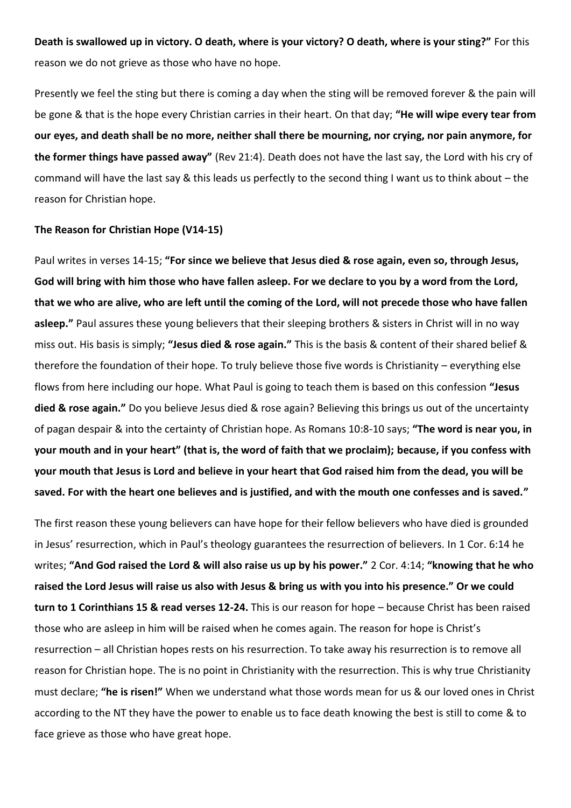**Death is swallowed up in victory. O death, where is your victory? O death, where is your sting?"** For this reason we do not grieve as those who have no hope.

Presently we feel the sting but there is coming a day when the sting will be removed forever & the pain will be gone & that is the hope every Christian carries in their heart. On that day; **"He will wipe every tear from our eyes, and death shall be no more, neither shall there be mourning, nor crying, nor pain anymore, for the former things have passed away"** (Rev 21:4). Death does not have the last say, the Lord with his cry of command will have the last say & this leads us perfectly to the second thing I want us to think about – the reason for Christian hope.

## **The Reason for Christian Hope (V14-15)**

Paul writes in verses 14-15; **"For since we believe that Jesus died & rose again, even so, through Jesus, God will bring with him those who have fallen asleep. For we declare to you by a word from the Lord, that we who are alive, who are left until the coming of the Lord, will not precede those who have fallen asleep."** Paul assures these young believers that their sleeping brothers & sisters in Christ will in no way miss out. His basis is simply; **"Jesus died & rose again."** This is the basis & content of their shared belief & therefore the foundation of their hope. To truly believe those five words is Christianity – everything else flows from here including our hope. What Paul is going to teach them is based on this confession **"Jesus died & rose again."** Do you believe Jesus died & rose again? Believing this brings us out of the uncertainty of pagan despair & into the certainty of Christian hope. As Romans 10:8-10 says; **"The word is near you, in your mouth and in your heart" (that is, the word of faith that we proclaim); because, if you confess with your mouth that Jesus is Lord and believe in your heart that God raised him from the dead, you will be saved. For with the heart one believes and is justified, and with the mouth one confesses and is saved."** 

The first reason these young believers can have hope for their fellow believers who have died is grounded in Jesus' resurrection, which in Paul's theology guarantees the resurrection of believers. In 1 Cor. 6:14 he writes; **"And God raised the Lord & will also raise us up by his power."** 2 Cor. 4:14; **"knowing that he who raised the Lord Jesus will raise us also with Jesus & bring us with you into his presence." Or we could turn to 1 Corinthians 15 & read verses 12-24.** This is our reason for hope – because Christ has been raised those who are asleep in him will be raised when he comes again. The reason for hope is Christ's resurrection – all Christian hopes rests on his resurrection. To take away his resurrection is to remove all reason for Christian hope. The is no point in Christianity with the resurrection. This is why true Christianity must declare; **"he is risen!"** When we understand what those words mean for us & our loved ones in Christ according to the NT they have the power to enable us to face death knowing the best is still to come & to face grieve as those who have great hope.